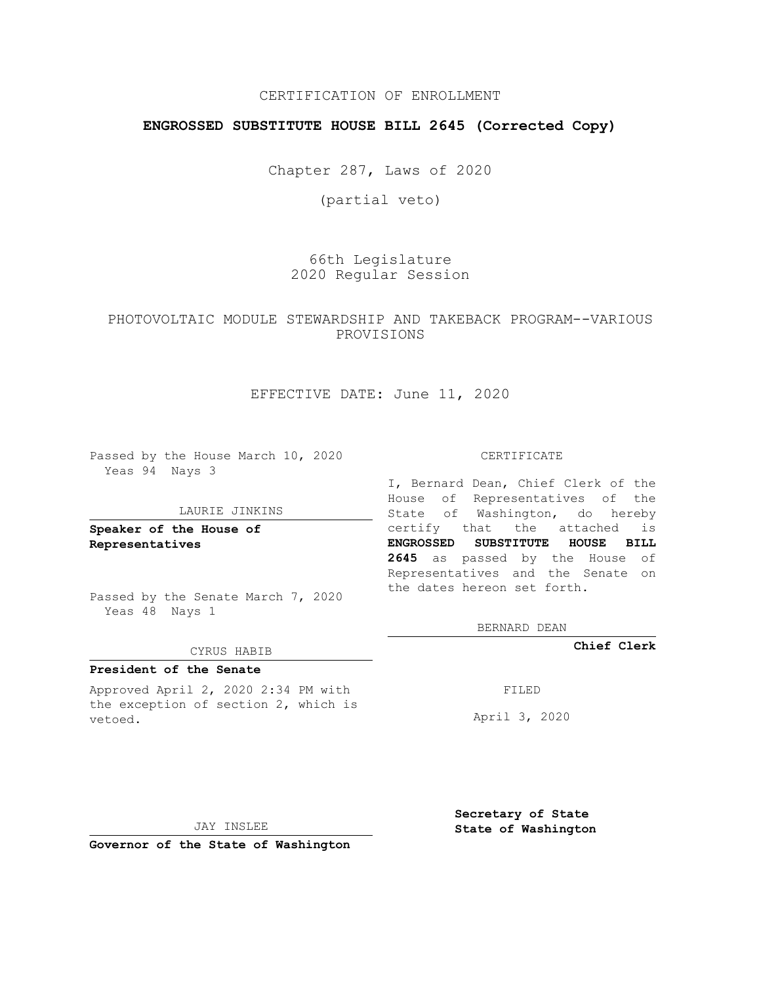## CERTIFICATION OF ENROLLMENT

## **ENGROSSED SUBSTITUTE HOUSE BILL 2645 (Corrected Copy)**

Chapter 287, Laws of 2020

(partial veto)

66th Legislature 2020 Regular Session

PHOTOVOLTAIC MODULE STEWARDSHIP AND TAKEBACK PROGRAM--VARIOUS PROVISIONS

### EFFECTIVE DATE: June 11, 2020

Passed by the House March 10, 2020 Yeas 94 Nays 3

#### LAURIE JINKINS

**Speaker of the House of Representatives**

Passed by the Senate March 7, 2020 Yeas 48 Nays 1

#### CYRUS HABIB

## **President of the Senate**

Approved April 2, 2020 2:34 PM with the exception of section 2, which is vetoed.

#### CERTIFICATE

I, Bernard Dean, Chief Clerk of the House of Representatives of the State of Washington, do hereby certify that the attached is **ENGROSSED SUBSTITUTE HOUSE BILL 2645** as passed by the House of Representatives and the Senate on the dates hereon set forth.

BERNARD DEAN

**Chief Clerk**

FILED

April 3, 2020

JAY INSLEE

**Governor of the State of Washington**

**Secretary of State State of Washington**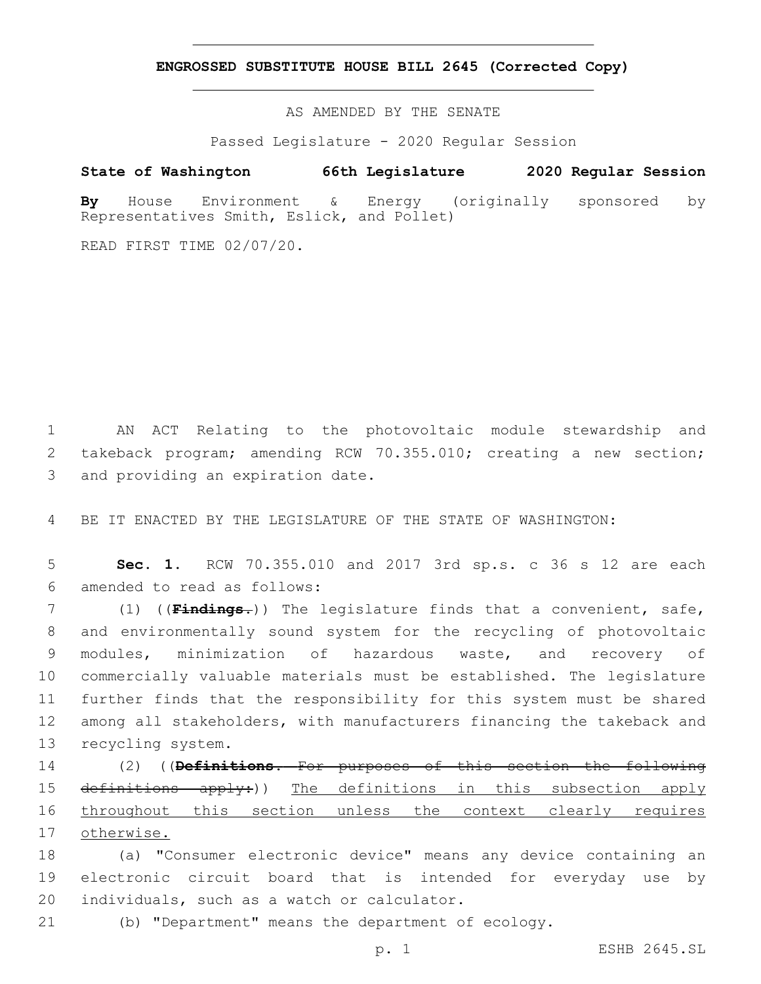**ENGROSSED SUBSTITUTE HOUSE BILL 2645 (Corrected Copy)**

AS AMENDED BY THE SENATE

Passed Legislature - 2020 Regular Session

# **State of Washington 66th Legislature 2020 Regular Session**

**By** House Environment & Energy (originally sponsored by Representatives Smith, Eslick, and Pollet)

READ FIRST TIME 02/07/20.

1 AN ACT Relating to the photovoltaic module stewardship and 2 takeback program; amending RCW 70.355.010; creating a new section; 3 and providing an expiration date.

4 BE IT ENACTED BY THE LEGISLATURE OF THE STATE OF WASHINGTON:

5 **Sec. 1.** RCW 70.355.010 and 2017 3rd sp.s. c 36 s 12 are each amended to read as follows:6

 (1) ((**Findings.**)) The legislature finds that a convenient, safe, and environmentally sound system for the recycling of photovoltaic modules, minimization of hazardous waste, and recovery of commercially valuable materials must be established. The legislature further finds that the responsibility for this system must be shared among all stakeholders, with manufacturers financing the takeback and 13 recycling system.

 (2) ((**Definitions.** For purposes of this section the following definitions apply:)) The definitions in this subsection apply throughout this section unless the context clearly requires otherwise.

18 (a) "Consumer electronic device" means any device containing an 19 electronic circuit board that is intended for everyday use by 20 individuals, such as a watch or calculator.

21 (b) "Department" means the department of ecology.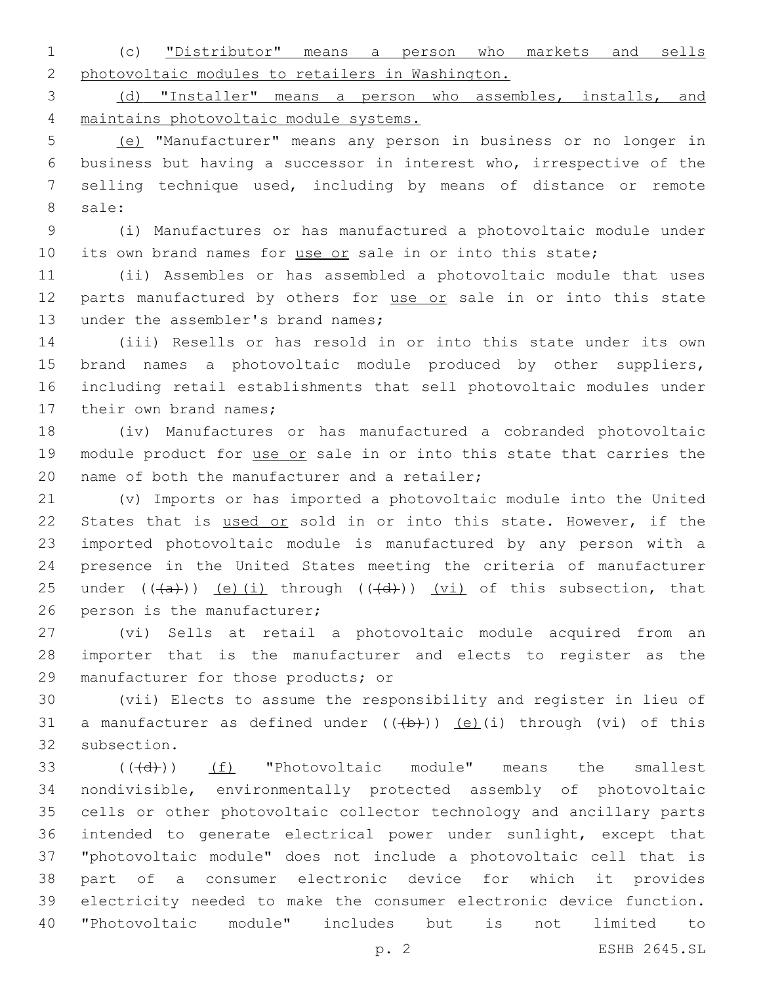(c) "Distributor" means a person who markets and sells photovoltaic modules to retailers in Washington.

 (d) "Installer" means a person who assembles, installs, and maintains photovoltaic module systems.

 (e) "Manufacturer" means any person in business or no longer in business but having a successor in interest who, irrespective of the selling technique used, including by means of distance or remote 8 sale:

 (i) Manufactures or has manufactured a photovoltaic module under 10 its own brand names for use or sale in or into this state;

 (ii) Assembles or has assembled a photovoltaic module that uses 12 parts manufactured by others for use or sale in or into this state 13 under the assembler's brand names;

 (iii) Resells or has resold in or into this state under its own brand names a photovoltaic module produced by other suppliers, including retail establishments that sell photovoltaic modules under 17 their own brand names;

 (iv) Manufactures or has manufactured a cobranded photovoltaic 19 module product for use or sale in or into this state that carries the 20 name of both the manufacturer and a retailer;

 (v) Imports or has imported a photovoltaic module into the United States that is used or sold in or into this state. However, if the imported photovoltaic module is manufactured by any person with a presence in the United States meeting the criteria of manufacturer 25 under  $((+a))$  (e)(i) through  $((+d))$  (vi) of this subsection, that 26 person is the manufacturer;

 (vi) Sells at retail a photovoltaic module acquired from an importer that is the manufacturer and elects to register as the 29 manufacturer for those products; or

 (vii) Elects to assume the responsibility and register in lieu of 31 a manufacturer as defined under  $((+b))$   $(e)$ (i) through (vi) of this 32 subsection.

33 (((+d)) (f) "Photovoltaic module" means the smallest nondivisible, environmentally protected assembly of photovoltaic cells or other photovoltaic collector technology and ancillary parts intended to generate electrical power under sunlight, except that "photovoltaic module" does not include a photovoltaic cell that is part of a consumer electronic device for which it provides electricity needed to make the consumer electronic device function. "Photovoltaic module" includes but is not limited to

p. 2 ESHB 2645.SL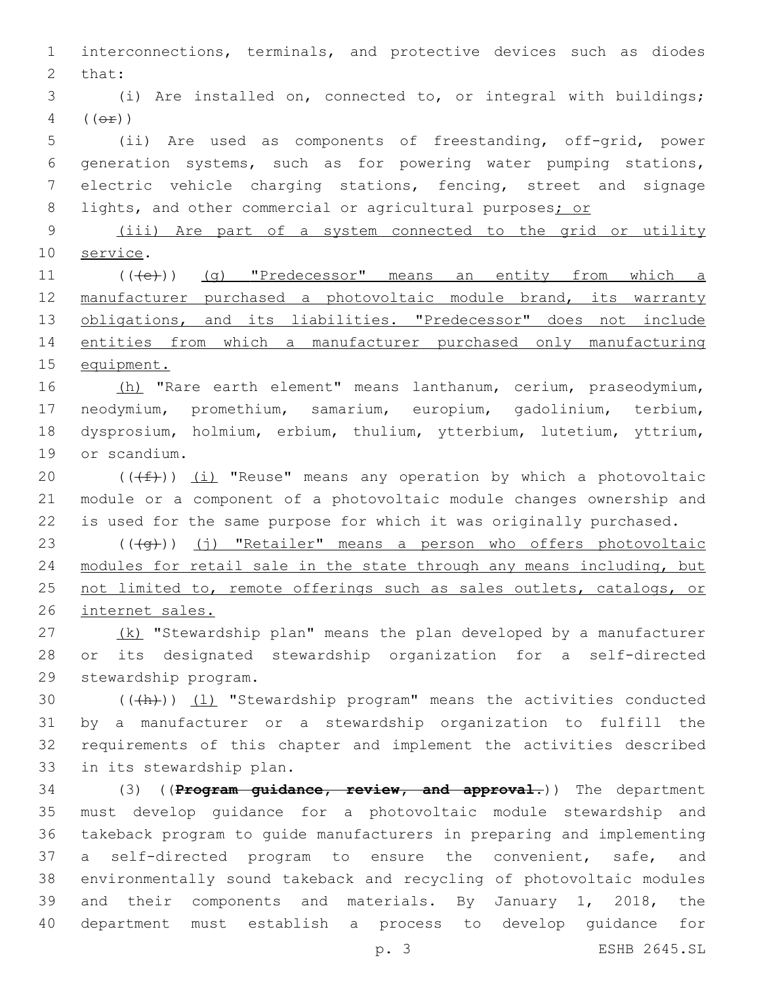interconnections, terminals, and protective devices such as diodes 2 that: (i) Are installed on, connected to, or integral with buildings;  $4 ((\theta \oplus$ ) (ii) Are used as components of freestanding, off-grid, power generation systems, such as for powering water pumping stations, electric vehicle charging stations, fencing, street and signage 8 lights, and other commercial or agricultural purposes; or (iii) Are part of a system connected to the grid or utility 10 service. 11 (((e)) (g) "Predecessor" means an entity from which a 12 manufacturer purchased a photovoltaic module brand, its warranty 13 obligations, and its liabilities. "Predecessor" does not include entities from which a manufacturer purchased only manufacturing equipment. 16 (h) "Rare earth element" means lanthanum, cerium, praseodymium, neodymium, promethium, samarium, europium, gadolinium, terbium, dysprosium, holmium, erbium, thulium, ytterbium, lutetium, yttrium, 19 or scandium.  $((\text{#}))$  (i) "Reuse" means any operation by which a photovoltaic module or a component of a photovoltaic module changes ownership and is used for the same purpose for which it was originally purchased. 23 (((4g)) (j) "Retailer" means a person who offers photovoltaic 24 modules for retail sale in the state through any means including, but 25 not limited to, remote offerings such as sales outlets, catalogs, or internet sales.  $(27)$  (k) "Stewardship plan" means the plan developed by a manufacturer or its designated stewardship organization for a self-directed 29 stewardship program.  $((+h))$   $(1)$  "Stewardship program" means the activities conducted by a manufacturer or a stewardship organization to fulfill the requirements of this chapter and implement the activities described 33 in its stewardship plan. (3) ((**Program guidance, review, and approval.**)) The department must develop guidance for a photovoltaic module stewardship and takeback program to guide manufacturers in preparing and implementing a self-directed program to ensure the convenient, safe, and environmentally sound takeback and recycling of photovoltaic modules and their components and materials. By January 1, 2018, the department must establish a process to develop guidance for

p. 3 ESHB 2645.SL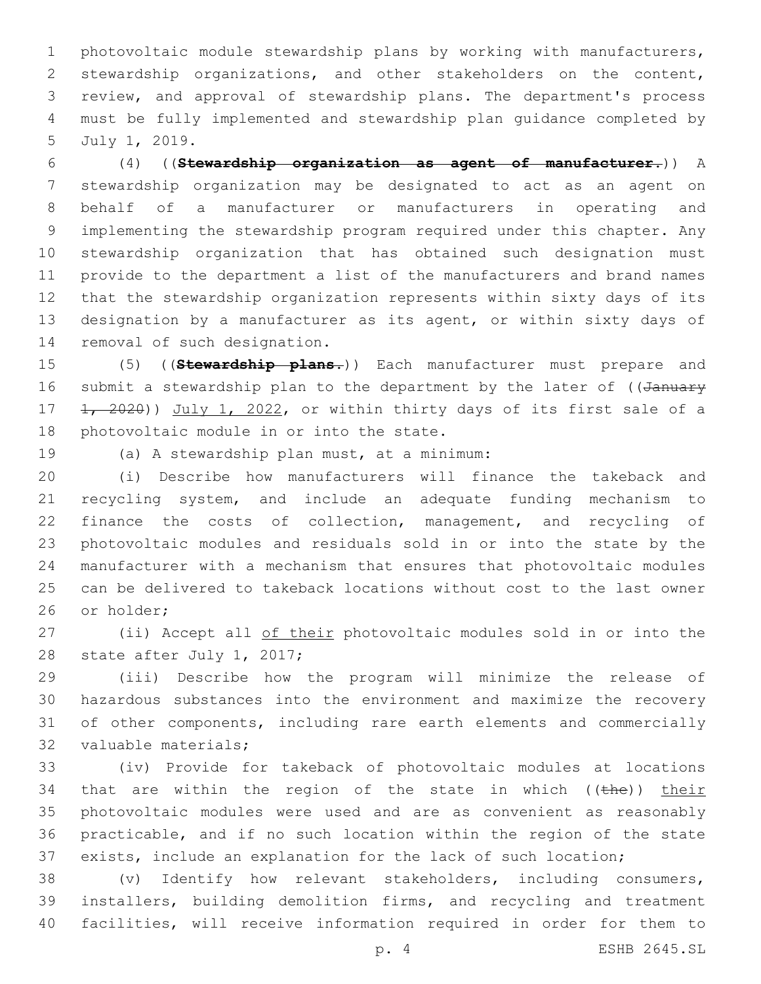photovoltaic module stewardship plans by working with manufacturers, stewardship organizations, and other stakeholders on the content, review, and approval of stewardship plans. The department's process must be fully implemented and stewardship plan guidance completed by 5 July 1, 2019.

 (4) ((**Stewardship organization as agent of manufacturer.**)) A stewardship organization may be designated to act as an agent on behalf of a manufacturer or manufacturers in operating and implementing the stewardship program required under this chapter. Any stewardship organization that has obtained such designation must provide to the department a list of the manufacturers and brand names that the stewardship organization represents within sixty days of its designation by a manufacturer as its agent, or within sixty days of 14 removal of such designation.

 (5) ((**Stewardship plans.**)) Each manufacturer must prepare and 16 submit a stewardship plan to the department by the later of ((January 17  $\frac{1}{1}$   $\frac{2020}{1}$   $\frac{1}{1}$   $\frac{2022}{1}$  or within thirty days of its first sale of a 18 photovoltaic module in or into the state.

(a) A stewardship plan must, at a minimum:19

 (i) Describe how manufacturers will finance the takeback and recycling system, and include an adequate funding mechanism to finance the costs of collection, management, and recycling of photovoltaic modules and residuals sold in or into the state by the manufacturer with a mechanism that ensures that photovoltaic modules can be delivered to takeback locations without cost to the last owner 26 or holder:

27 (ii) Accept all of their photovoltaic modules sold in or into the 28 state after July 1, 2017;

 (iii) Describe how the program will minimize the release of hazardous substances into the environment and maximize the recovery of other components, including rare earth elements and commercially 32 valuable materials;

 (iv) Provide for takeback of photovoltaic modules at locations 34 that are within the region of the state in which  $($  ( $t$ he)) their photovoltaic modules were used and are as convenient as reasonably practicable, and if no such location within the region of the state exists, include an explanation for the lack of such location;

 (v) Identify how relevant stakeholders, including consumers, installers, building demolition firms, and recycling and treatment facilities, will receive information required in order for them to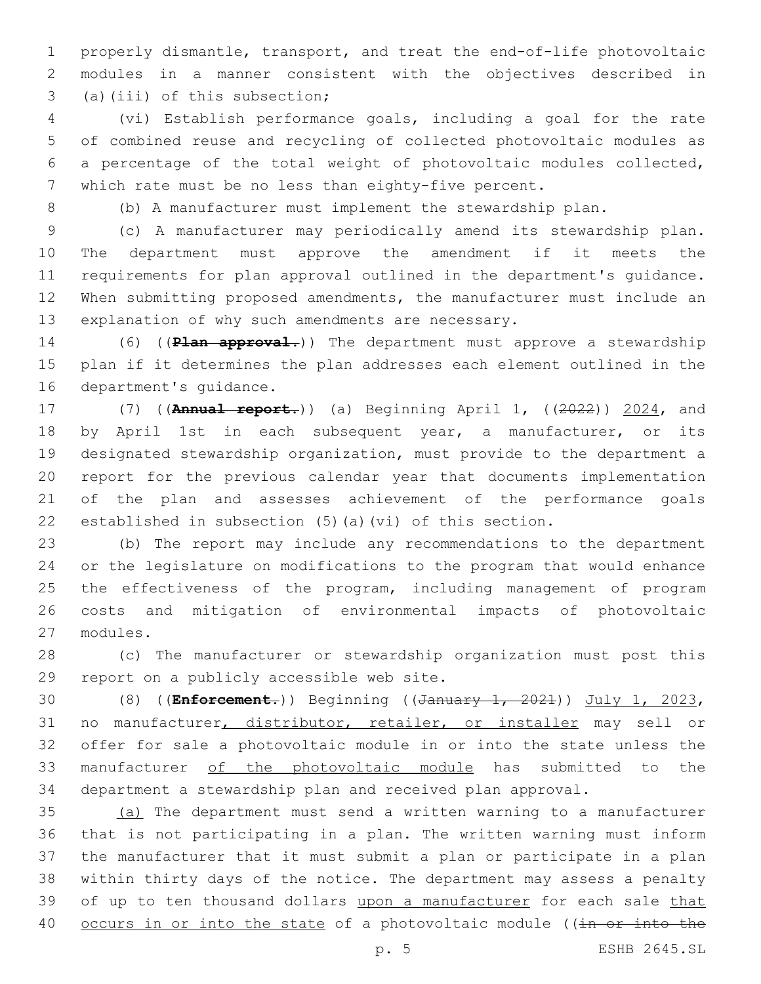properly dismantle, transport, and treat the end-of-life photovoltaic modules in a manner consistent with the objectives described in 3 (a)(iii) of this subsection;

 (vi) Establish performance goals, including a goal for the rate of combined reuse and recycling of collected photovoltaic modules as a percentage of the total weight of photovoltaic modules collected, which rate must be no less than eighty-five percent.

(b) A manufacturer must implement the stewardship plan.

 (c) A manufacturer may periodically amend its stewardship plan. The department must approve the amendment if it meets the requirements for plan approval outlined in the department's guidance. When submitting proposed amendments, the manufacturer must include an 13 explanation of why such amendments are necessary.

 (6) ((**Plan approval.**)) The department must approve a stewardship plan if it determines the plan addresses each element outlined in the 16 department's quidance.

 (7) ((**Annual report.**)) (a) Beginning April 1, ((2022)) 2024, and 18 by April 1st in each subsequent year, a manufacturer, or its designated stewardship organization, must provide to the department a report for the previous calendar year that documents implementation of the plan and assesses achievement of the performance goals established in subsection (5)(a)(vi) of this section.

 (b) The report may include any recommendations to the department or the legislature on modifications to the program that would enhance the effectiveness of the program, including management of program costs and mitigation of environmental impacts of photovoltaic modules.27

 (c) The manufacturer or stewardship organization must post this 29 report on a publicly accessible web site.

 (8) ((**Enforcement.**)) Beginning ((January 1, 2021)) July 1, 2023, no manufacturer, distributor, retailer, or installer may sell or offer for sale a photovoltaic module in or into the state unless the manufacturer of the photovoltaic module has submitted to the department a stewardship plan and received plan approval.

 (a) The department must send a written warning to a manufacturer that is not participating in a plan. The written warning must inform the manufacturer that it must submit a plan or participate in a plan within thirty days of the notice. The department may assess a penalty 39 of up to ten thousand dollars upon a manufacturer for each sale that 40 occurs in or into the state of a photovoltaic module ((in or into the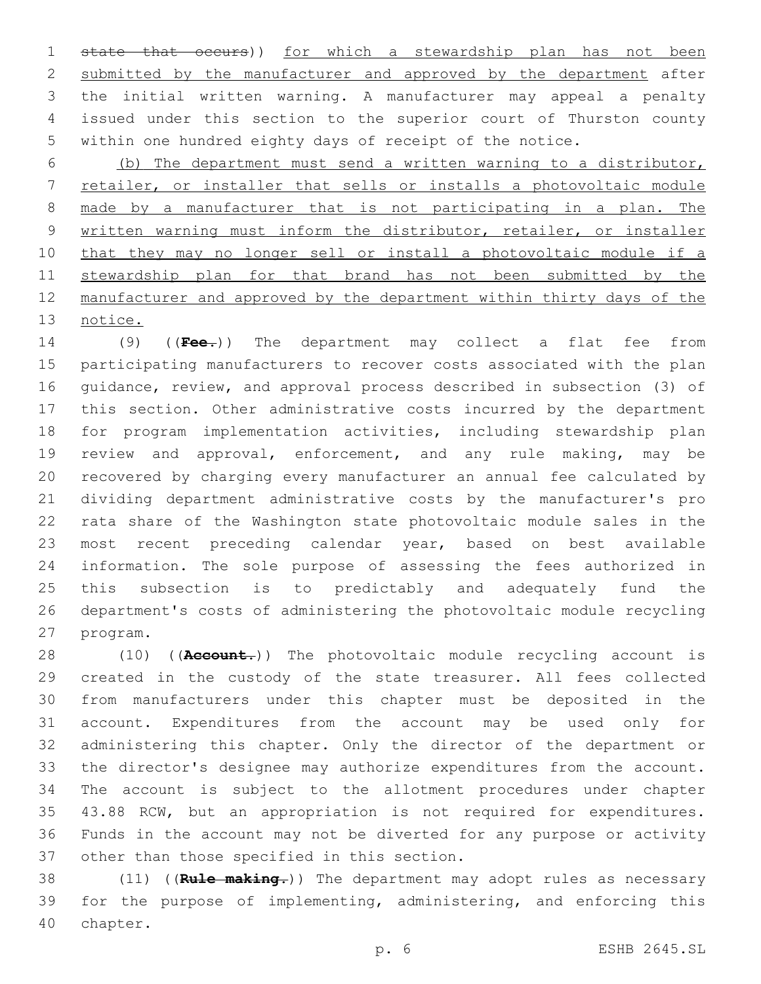state that occurs)) for which a stewardship plan has not been 2 submitted by the manufacturer and approved by the department after the initial written warning. A manufacturer may appeal a penalty issued under this section to the superior court of Thurston county within one hundred eighty days of receipt of the notice.

 (b) The department must send a written warning to a distributor, retailer, or installer that sells or installs a photovoltaic module made by a manufacturer that is not participating in a plan. The written warning must inform the distributor, retailer, or installer that they may no longer sell or install a photovoltaic module if a 11 stewardship plan for that brand has not been submitted by the manufacturer and approved by the department within thirty days of the notice.

 (9) ((**Fee.**)) The department may collect a flat fee from participating manufacturers to recover costs associated with the plan guidance, review, and approval process described in subsection (3) of this section. Other administrative costs incurred by the department for program implementation activities, including stewardship plan review and approval, enforcement, and any rule making, may be recovered by charging every manufacturer an annual fee calculated by dividing department administrative costs by the manufacturer's pro rata share of the Washington state photovoltaic module sales in the most recent preceding calendar year, based on best available information. The sole purpose of assessing the fees authorized in this subsection is to predictably and adequately fund the department's costs of administering the photovoltaic module recycling 27 program.

 (10) ((**Account.**)) The photovoltaic module recycling account is created in the custody of the state treasurer. All fees collected from manufacturers under this chapter must be deposited in the account. Expenditures from the account may be used only for administering this chapter. Only the director of the department or the director's designee may authorize expenditures from the account. The account is subject to the allotment procedures under chapter 43.88 RCW, but an appropriation is not required for expenditures. Funds in the account may not be diverted for any purpose or activity 37 other than those specified in this section.

 (11) ((**Rule making.**)) The department may adopt rules as necessary for the purpose of implementing, administering, and enforcing this 40 chapter.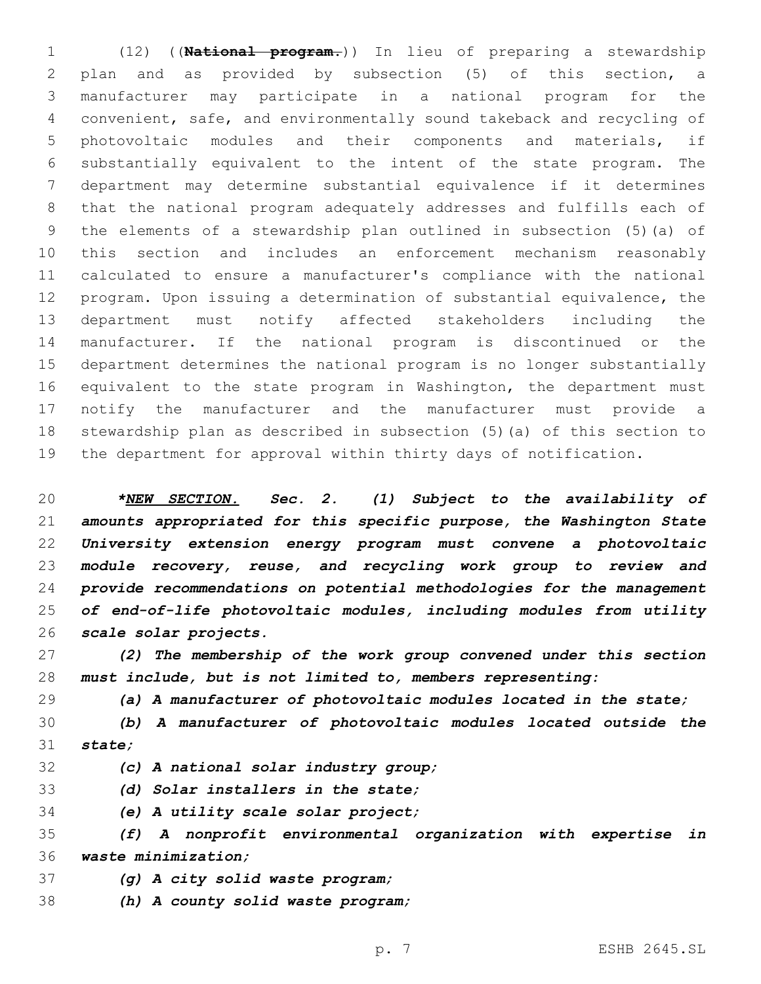(12) ((**National program.**)) In lieu of preparing a stewardship plan and as provided by subsection (5) of this section, a manufacturer may participate in a national program for the convenient, safe, and environmentally sound takeback and recycling of photovoltaic modules and their components and materials, if substantially equivalent to the intent of the state program. The department may determine substantial equivalence if it determines that the national program adequately addresses and fulfills each of the elements of a stewardship plan outlined in subsection (5)(a) of this section and includes an enforcement mechanism reasonably calculated to ensure a manufacturer's compliance with the national program. Upon issuing a determination of substantial equivalence, the department must notify affected stakeholders including the manufacturer. If the national program is discontinued or the department determines the national program is no longer substantially equivalent to the state program in Washington, the department must notify the manufacturer and the manufacturer must provide a stewardship plan as described in subsection (5)(a) of this section to the department for approval within thirty days of notification.

 *\*NEW SECTION. Sec. 2. (1) Subject to the availability of amounts appropriated for this specific purpose, the Washington State University extension energy program must convene a photovoltaic module recovery, reuse, and recycling work group to review and provide recommendations on potential methodologies for the management of end-of-life photovoltaic modules, including modules from utility scale solar projects.*

 *(2) The membership of the work group convened under this section must include, but is not limited to, members representing:*

*(a) A manufacturer of photovoltaic modules located in the state;*

 *(b) A manufacturer of photovoltaic modules located outside the state;*

*(c) A national solar industry group;*

*(d) Solar installers in the state;*

*(e) A utility scale solar project;*

 *(f) A nonprofit environmental organization with expertise in waste minimization;*

*(g) A city solid waste program;*

*(h) A county solid waste program;*